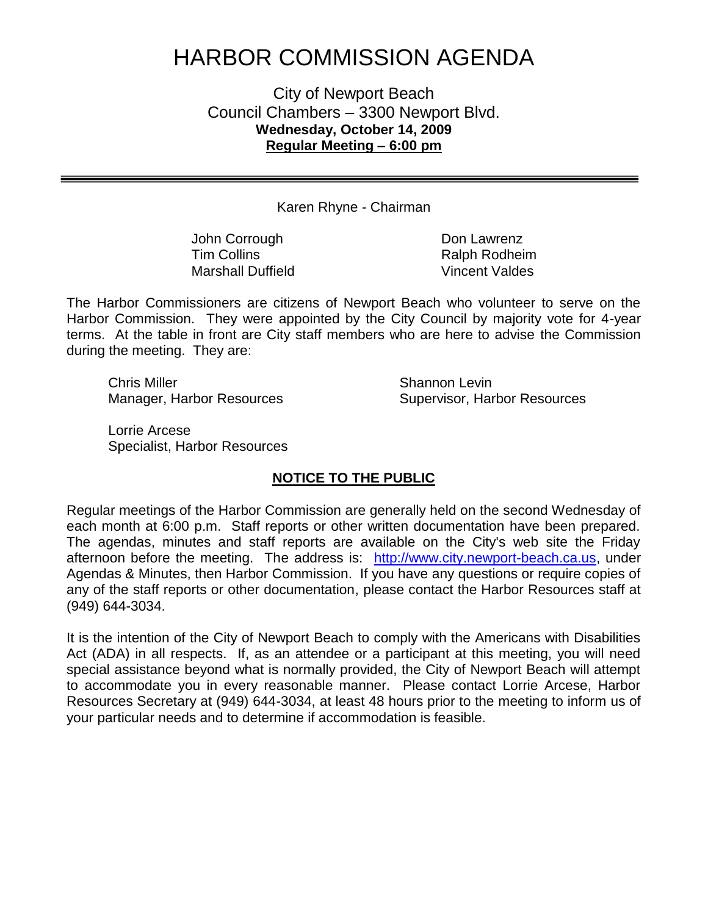# HARBOR COMMISSION AGENDA

City of Newport Beach Council Chambers – 3300 Newport Blvd. **Wednesday, October 14, 2009 Regular Meeting – 6:00 pm**

Karen Rhyne - Chairman

John Corrough **Don Lawrenz** Tim Collins **Ralph Rodheim** Marshall Duffield Vincent Valdes

The Harbor Commissioners are citizens of Newport Beach who volunteer to serve on the Harbor Commission. They were appointed by the City Council by majority vote for 4-year terms. At the table in front are City staff members who are here to advise the Commission during the meeting. They are:

Chris Miller **Shannon** Levin

Manager, Harbor Resources Supervisor, Harbor Resources

Lorrie Arcese Specialist, Harbor Resources

## **NOTICE TO THE PUBLIC**

Regular meetings of the Harbor Commission are generally held on the second Wednesday of each month at 6:00 p.m. Staff reports or other written documentation have been prepared. The agendas, minutes and staff reports are available on the City's web site the Friday afternoon before the meeting. The address is: [http://www.city.newport-beach.ca.us,](http://www.city.newport-beach.ca.us/) under Agendas & Minutes, then Harbor Commission. If you have any questions or require copies of any of the staff reports or other documentation, please contact the Harbor Resources staff at (949) 644-3034.

It is the intention of the City of Newport Beach to comply with the Americans with Disabilities Act (ADA) in all respects. If, as an attendee or a participant at this meeting, you will need special assistance beyond what is normally provided, the City of Newport Beach will attempt to accommodate you in every reasonable manner. Please contact Lorrie Arcese, Harbor Resources Secretary at (949) 644-3034, at least 48 hours prior to the meeting to inform us of your particular needs and to determine if accommodation is feasible.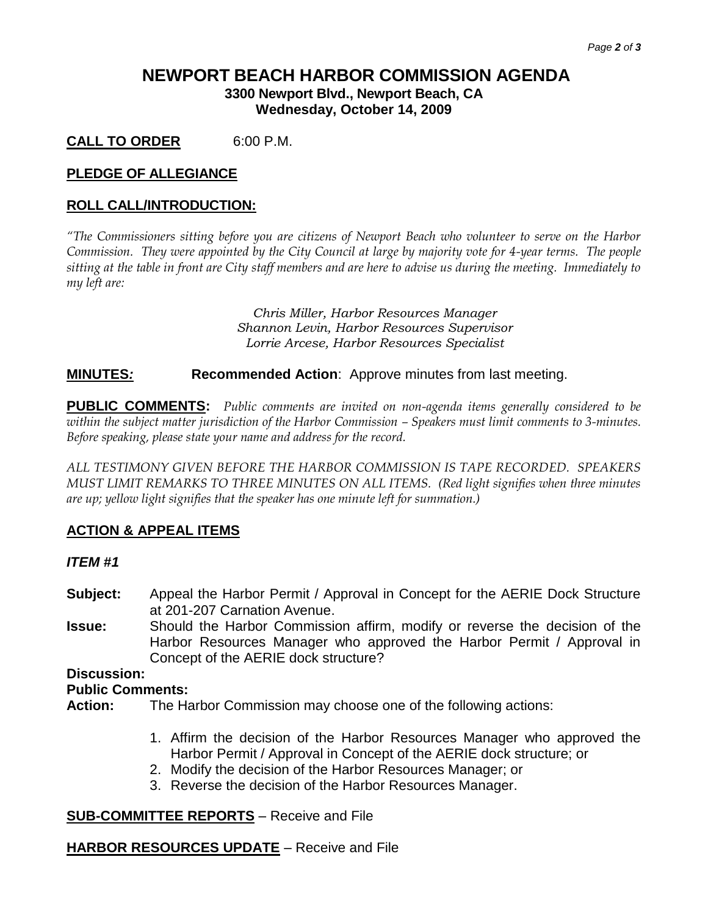## **NEWPORT BEACH HARBOR COMMISSION AGENDA 3300 Newport Blvd., Newport Beach, CA**

**Wednesday, October 14, 2009**

**CALL TO ORDER** 6:00 P.M.

## **PLEDGE OF ALLEGIANCE**

## **ROLL CALL/INTRODUCTION:**

*"The Commissioners sitting before you are citizens of Newport Beach who volunteer to serve on the Harbor Commission. They were appointed by the City Council at large by majority vote for 4-year terms. The people sitting at the table in front are City staff members and are here to advise us during the meeting. Immediately to my left are:*

> *Chris Miller, Harbor Resources Manager Shannon Levin, Harbor Resources Supervisor Lorrie Arcese, Harbor Resources Specialist*

## **MINUTES***:* **Recommended Action**: Approve minutes from last meeting.

**PUBLIC COMMENTS:** *Public comments are invited on non-agenda items generally considered to be within the subject matter jurisdiction of the Harbor Commission – Speakers must limit comments to 3-minutes. Before speaking, please state your name and address for the record.*

*ALL TESTIMONY GIVEN BEFORE THE HARBOR COMMISSION IS TAPE RECORDED. SPEAKERS MUST LIMIT REMARKS TO THREE MINUTES ON ALL ITEMS. (Red light signifies when three minutes are up; yellow light signifies that the speaker has one minute left for summation.)*

## **ACTION & APPEAL ITEMS**

#### *ITEM #1*

- **Subject:** Appeal the Harbor Permit / Approval in Concept for the AERIE Dock Structure at 201-207 Carnation Avenue.
- **Issue:** Should the Harbor Commission affirm, modify or reverse the decision of the Harbor Resources Manager who approved the Harbor Permit / Approval in Concept of the AERIE dock structure?

#### **Discussion:**

#### **Public Comments:**

**Action:** The Harbor Commission may choose one of the following actions:

- 1. Affirm the decision of the Harbor Resources Manager who approved the Harbor Permit / Approval in Concept of the AERIE dock structure; or
- 2. Modify the decision of the Harbor Resources Manager; or
- 3. Reverse the decision of the Harbor Resources Manager.

## **SUB-COMMITTEE REPORTS** – Receive and File

## **HARBOR RESOURCES UPDATE** – Receive and File